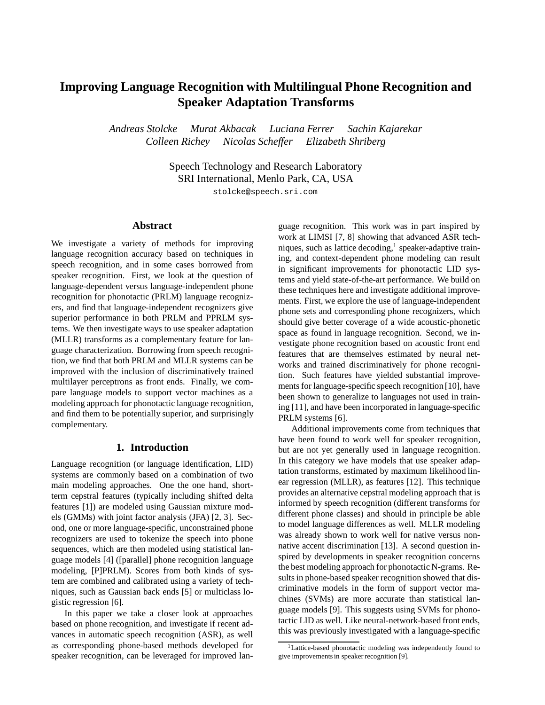# **Improving Language Recognition with Multilingual Phone Recognition and Speaker Adaptation Transforms**

*Andreas Stolcke Murat Akbacak Luciana Ferrer Sachin Kajarekar Colleen Richey Nicolas Scheffer Elizabeth Shriberg*

> Speech Technology and Research Laboratory SRI International, Menlo Park, CA, USA

stolcke@speech.sri.com

## **Abstract**

We investigate a variety of methods for improving language recognition accuracy based on techniques in speech recognition, and in some cases borrowed from speaker recognition. First, we look at the question of language-dependent versus language-independent phone recognition for phonotactic (PRLM) language recognizers, and find that language-independent recognizers give superior performance in both PRLM and PPRLM systems. We then investigate ways to use speaker adaptation (MLLR) transforms as a complementary feature for language characterization. Borrowing from speech recognition, we find that both PRLM and MLLR systems can be improved with the inclusion of discriminatively trained multilayer perceptrons as front ends. Finally, we compare language models to support vector machines as a modeling approach for phonotactic language recognition, and find them to be potentially superior, and surprisingly complementary.

# **1. Introduction**

Language recognition (or language identification, LID) systems are commonly based on a combination of two main modeling approaches. One the one hand, shortterm cepstral features (typically including shifted delta features [1]) are modeled using Gaussian mixture models (GMMs) with joint factor analysis (JFA) [2, 3]. Second, one or more language-specific, unconstrained phone recognizers are used to tokenize the speech into phone sequences, which are then modeled using statistical language models [4] ([parallel] phone recognition language modeling, [P]PRLM). Scores from both kinds of system are combined and calibrated using a variety of techniques, such as Gaussian back ends [5] or multiclass logistic regression [6].

In this paper we take a closer look at approaches based on phone recognition, and investigate if recent advances in automatic speech recognition (ASR), as well as corresponding phone-based methods developed for speaker recognition, can be leveraged for improved language recognition. This work was in part inspired by work at LIMSI [7, 8] showing that advanced ASR techniques, such as lattice decoding, $<sup>1</sup>$  speaker-adaptive train-</sup> ing, and context-dependent phone modeling can result in significant improvements for phonotactic LID systems and yield state-of-the-art performance. We build on these techniques here and investigate additional improvements. First, we explore the use of language-independent phone sets and corresponding phone recognizers, which should give better coverage of a wide acoustic-phonetic space as found in language recognition. Second, we investigate phone recognition based on acoustic front end features that are themselves estimated by neural networks and trained discriminatively for phone recognition. Such features have yielded substantial improvements for language-specific speech recognition [10], have been shown to generalize to languages not used in training [11], and have been incorporated in language-specific PRLM systems [6].

Additional improvements come from techniques that have been found to work well for speaker recognition, but are not yet generally used in language recognition. In this category we have models that use speaker adaptation transforms, estimated by maximum likelihood linear regression (MLLR), as features [12]. This technique provides an alternative cepstral modeling approach that is informed by speech recognition (different transforms for different phone classes) and should in principle be able to model language differences as well. MLLR modeling was already shown to work well for native versus nonnative accent discrimination [13]. A second question inspired by developments in speaker recognition concerns the best modeling approach for phonotactic N-grams. Results in phone-based speaker recognition showed that discriminative models in the form of support vector machines (SVMs) are more accurate than statistical language models [9]. This suggests using SVMs for phonotactic LID as well. Like neural-network-based front ends, this was previously investigated with a language-specific

<sup>&</sup>lt;sup>1</sup>Lattice-based phonotactic modeling was independently found to give improvements in speaker recognition [9].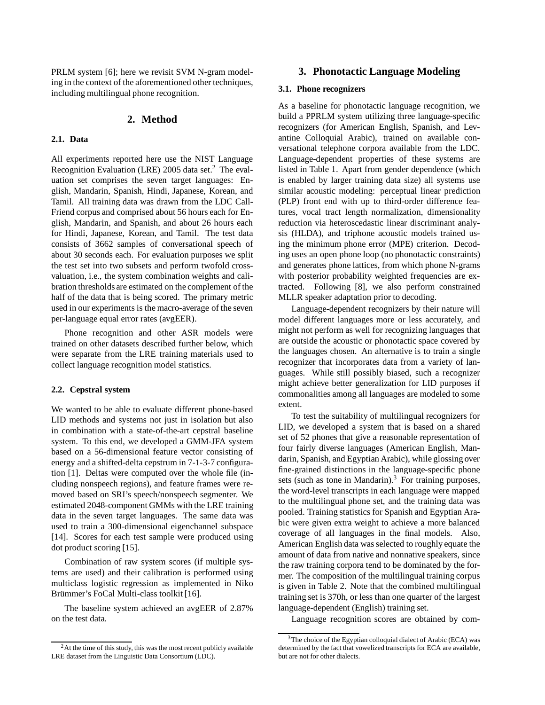PRLM system [6]; here we revisit SVM N-gram modeling in the context of the aforementioned other techniques, including multilingual phone recognition.

# **2. Method**

## **2.1. Data**

All experiments reported here use the NIST Language Recognition Evaluation (LRE) 2005 data set.<sup>2</sup> The evaluation set comprises the seven target languages: English, Mandarin, Spanish, Hindi, Japanese, Korean, and Tamil. All training data was drawn from the LDC Call-Friend corpus and comprised about 56 hours each for English, Mandarin, and Spanish, and about 26 hours each for Hindi, Japanese, Korean, and Tamil. The test data consists of 3662 samples of conversational speech of about 30 seconds each. For evaluation purposes we split the test set into two subsets and perform twofold crossvaluation, i.e., the system combination weights and calibration thresholds are estimated on the complement of the half of the data that is being scored. The primary metric used in our experiments is the macro-average of the seven per-language equal error rates (avgEER).

Phone recognition and other ASR models were trained on other datasets described further below, which were separate from the LRE training materials used to collect language recognition model statistics.

#### **2.2. Cepstral system**

We wanted to be able to evaluate different phone-based LID methods and systems not just in isolation but also in combination with a state-of-the-art cepstral baseline system. To this end, we developed a GMM-JFA system based on a 56-dimensional feature vector consisting of energy and a shifted-delta cepstrum in 7-1-3-7 configuration [1]. Deltas were computed over the whole file (including nonspeech regions), and feature frames were removed based on SRI's speech/nonspeech segmenter. We estimated 2048-component GMMs with the LRE training data in the seven target languages. The same data was used to train a 300-dimensional eigenchannel subspace [14]. Scores for each test sample were produced using dot product scoring [15].

Combination of raw system scores (if multiple systems are used) and their calibration is performed using multiclass logistic regression as implemented in Niko Brümmer's FoCal Multi-class toolkit [16].

The baseline system achieved an avgEER of 2.87% on the test data.

# **3. Phonotactic Language Modeling**

#### **3.1. Phone recognizers**

As a baseline for phonotactic language recognition, we build a PPRLM system utilizing three language-specific recognizers (for American English, Spanish, and Levantine Colloquial Arabic), trained on available conversational telephone corpora available from the LDC. Language-dependent properties of these systems are listed in Table 1. Apart from gender dependence (which is enabled by larger training data size) all systems use similar acoustic modeling: perceptual linear prediction (PLP) front end with up to third-order difference features, vocal tract length normalization, dimensionality reduction via heteroscedastic linear discriminant analysis (HLDA), and triphone acoustic models trained using the minimum phone error (MPE) criterion. Decoding uses an open phone loop (no phonotactic constraints) and generates phone lattices, from which phone N-grams with posterior probability weighted frequencies are extracted. Following [8], we also perform constrained MLLR speaker adaptation prior to decoding.

Language-dependent recognizers by their nature will model different languages more or less accurately, and might not perform as well for recognizing languages that are outside the acoustic or phonotactic space covered by the languages chosen. An alternative is to train a single recognizer that incorporates data from a variety of languages. While still possibly biased, such a recognizer might achieve better generalization for LID purposes if commonalities among all languages are modeled to some extent.

To test the suitability of multilingual recognizers for LID, we developed a system that is based on a shared set of 52 phones that give a reasonable representation of four fairly diverse languages (American English, Mandarin, Spanish, and Egyptian Arabic), while glossing over fine-grained distinctions in the language-specific phone sets (such as tone in Mandarin). $3$  For training purposes, the word-level transcripts in each language were mapped to the multilingual phone set, and the training data was pooled. Training statistics for Spanish and Egyptian Arabic were given extra weight to achieve a more balanced coverage of all languages in the final models. Also, American English data was selected to roughly equate the amount of data from native and nonnative speakers, since the raw training corpora tend to be dominated by the former. The composition of the multilingual training corpus is given in Table 2. Note that the combined multilingual training set is 370h, or less than one quarter of the largest language-dependent (English) training set.

Language recognition scores are obtained by com-

<sup>&</sup>lt;sup>2</sup>At the time of this study, this was the most recent publicly available LRE dataset from the Linguistic Data Consortium (LDC).

<sup>&</sup>lt;sup>3</sup>The choice of the Egyptian colloquial dialect of Arabic (ECA) was determined by the fact that vowelized transcripts for ECA are available, but are not for other dialects.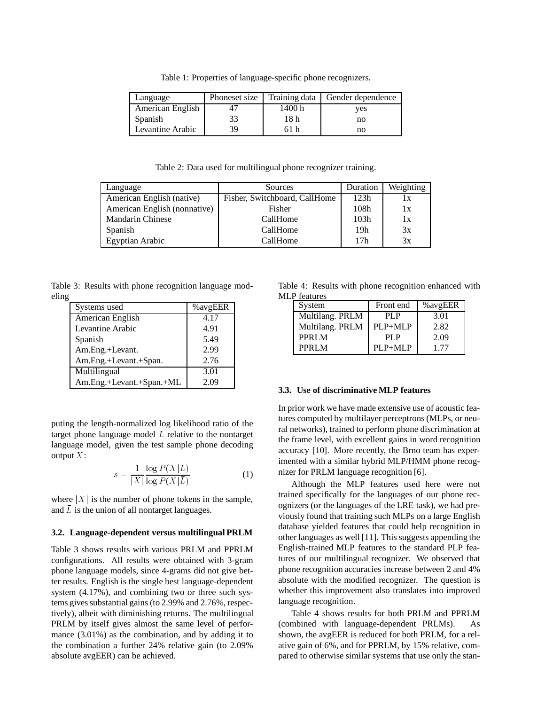Table 1: Properties of language-specific phone recognizers.

| Language         | Phoneset size | Training data | Gender dependence |
|------------------|---------------|---------------|-------------------|
| American English |               | 1400 h        | ves               |
| Spanish          | 33            | 18 h          | no                |
| Levantine Arabic | 39            | 61 h          | no                |

Table 2: Data used for multilingual phone recognizer training.

| Language                     | Sources                       | Duration | Weighting |
|------------------------------|-------------------------------|----------|-----------|
| American English (native)    | Fisher, Switchboard, CallHome | 123h     | lх        |
| American English (nonnative) | <b>Fisher</b>                 | 108h     | 1x        |
| <b>Mandarin Chinese</b>      | CallHome                      | 103h     | 1x        |
| Spanish                      | CallHome                      | 19h      | 3x        |
| Egyptian Arabic              | CallHome                      | 17h      | 3x        |

Table 3: Results with phone recognition language modeling

| Systems used             | % avgEER |
|--------------------------|----------|
| American English         | 4.17     |
| Levantine Arabic         | 4.91     |
| Spanish                  | 5.49     |
| Am.Eng.+Levant.          | 2.99     |
| Am.Eng.+Levant.+Span.    | 2.76     |
| Multilingual             | 3.01     |
| Am.Eng.+Levant.+Span.+ML | 2.09     |

puting the length-normalized log likelihood ratio of the target phone language model  $L$  relative to the nontarget language model, given the test sample phone decoding output  $X$ :

$$
s = \frac{1}{|X|} \frac{\log P(X|L)}{\log P(X|\bar{L})}
$$
(1)

where  $|X|$  is the number of phone tokens in the sample, and  $\overline{L}$  is the union of all nontarget languages.

#### **3.2. Language-dependent versus multilingual PRLM**

Table 3 shows results with various PRLM and PPRLM configurations. All results were obtained with 3-gram phone language models, since 4-grams did not give better results. English is the single best language-dependent system (4.17%), and combining two or three such systems gives substantial gains (to 2.99% and 2.76%, respectively), albeit with diminishing returns. The multilingual PRLM by itself gives almost the same level of performance (3.01%) as the combination, and by adding it to the combination a further 24% relative gain (to 2.09% absolute avgEER) can be achieved.

Table 4: Results with phone recognition enhanced with MLP features

| System          | Front end   | % avgEER |
|-----------------|-------------|----------|
| Multilang. PRLM | PL P        | 3.01     |
| Multilang. PRLM | PLP+MLP     | 2.82     |
| PPRLM           | PI.P        | 2.09     |
| PPRLM           | $PI.P+MI.P$ | 177      |

#### **3.3. Use of discriminative MLP features**

In prior work we have made extensive use of acoustic features computed by multilayer perceptrons (MLPs, or neural networks), trained to perform phone discrimination at the frame level, with excellent gains in word recognition accuracy [10]. More recently, the Brno team has experimented with a similar hybrid MLP/HMM phone recognizer for PRLM language recognition [6].

Although the MLP features used here were not trained specifically for the languages of our phone recognizers (or the languages of the LRE task), we had previously found that training such MLPs on a large English database yielded features that could help recognition in other languages as well [11]. This suggests appending the English-trained MLP features to the standard PLP features of our multilingual recognizer. We observed that phone recognition accuracies increase between 2 and 4% absolute with the modified recognizer. The question is whether this improvement also translates into improved language recognition.

Table 4 shows results for both PRLM and PPRLM (combined with language-dependent PRLMs). As shown, the avgEER is reduced for both PRLM, for a relative gain of 6%, and for PPRLM, by 15% relative, compared to otherwise similar systems that use only the stan-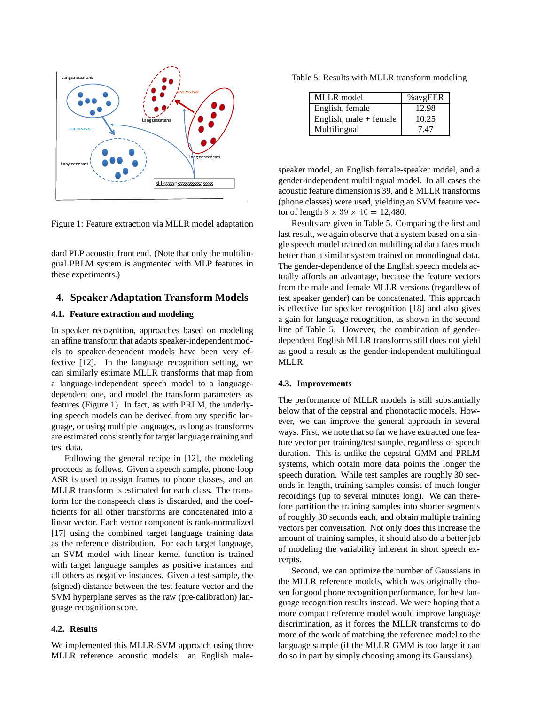

Figure 1: Feature extraction via MLLR model adaptation

dard PLP acoustic front end. (Note that only the multilingual PRLM system is augmented with MLP features in these experiments.)

## **4. Speaker Adaptation Transform Models**

#### **4.1. Feature extraction and modeling**

In speaker recognition, approaches based on modeling an affine transform that adapts speaker-independent models to speaker-dependent models have been very effective [12]. In the language recognition setting, we can similarly estimate MLLR transforms that map from a language-independent speech model to a languagedependent one, and model the transform parameters as features (Figure 1). In fact, as with PRLM, the underlying speech models can be derived from any specific language, or using multiple languages, as long as transforms are estimated consistently for target language training and test data.

Following the general recipe in [12], the modeling proceeds as follows. Given a speech sample, phone-loop ASR is used to assign frames to phone classes, and an MLLR transform is estimated for each class. The transform for the nonspeech class is discarded, and the coefficients for all other transforms are concatenated into a linear vector. Each vector component is rank-normalized [17] using the combined target language training data as the reference distribution. For each target language, an SVM model with linear kernel function is trained with target language samples as positive instances and all others as negative instances. Given a test sample, the (signed) distance between the test feature vector and the SVM hyperplane serves as the raw (pre-calibration) language recognition score.

#### **4.2. Results**

We implemented this MLLR-SVM approach using three MLLR reference acoustic models: an English male-

Table 5: Results with MLLR transform modeling

| <b>MLLR</b> model        | % avgEER |
|--------------------------|----------|
| English, female          | 12.98    |
| English, male $+$ female | 10.25    |
| Multilingual             | 7 47     |

speaker model, an English female-speaker model, and a gender-independent multilingual model. In all cases the acoustic feature dimension is 39, and 8 MLLR transforms (phone classes) were used, yielding an SVM feature vector of length  $8 \times 39 \times 40 = 12,480$ .

Results are given in Table 5. Comparing the first and last result, we again observe that a system based on a single speech model trained on multilingual data fares much better than a similar system trained on monolingual data. The gender-dependence of the English speech models actually affords an advantage, because the feature vectors from the male and female MLLR versions (regardless of test speaker gender) can be concatenated. This approach is effective for speaker recognition [18] and also gives a gain for language recognition, as shown in the second line of Table 5. However, the combination of genderdependent English MLLR transforms still does not yield as good a result as the gender-independent multilingual MLLR.

#### **4.3. Improvements**

The performance of MLLR models is still substantially below that of the cepstral and phonotactic models. However, we can improve the general approach in several ways. First, we note that so far we have extracted one feature vector per training/test sample, regardless of speech duration. This is unlike the cepstral GMM and PRLM systems, which obtain more data points the longer the speech duration. While test samples are roughly 30 seconds in length, training samples consist of much longer recordings (up to several minutes long). We can therefore partition the training samples into shorter segments of roughly 30 seconds each, and obtain multiple training vectors per conversation. Not only does this increase the amount of training samples, it should also do a better job of modeling the variability inherent in short speech excerpts.

Second, we can optimize the number of Gaussians in the MLLR reference models, which was originally chosen for good phone recognition performance, for best language recognition results instead. We were hoping that a more compact reference model would improve language discrimination, as it forces the MLLR transforms to do more of the work of matching the reference model to the language sample (if the MLLR GMM is too large it can do so in part by simply choosing among its Gaussians).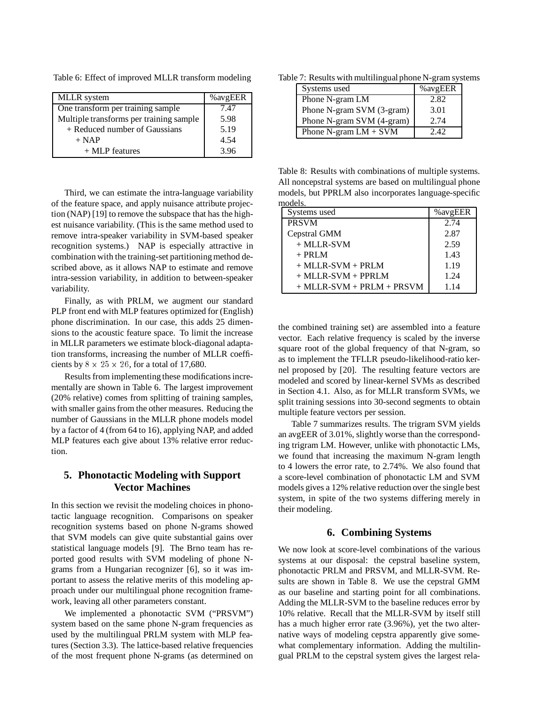Table 6: Effect of improved MLLR transform modeling

| <b>MLLR</b> system                      | % avgEER |
|-----------------------------------------|----------|
|                                         |          |
| One transform per training sample       | 7.47     |
| Multiple transforms per training sample | 5.98     |
|                                         |          |
| + Reduced number of Gaussians           | 5.19     |
| $+$ NAP                                 | 4.54     |
|                                         |          |
| $+$ MLP features                        | 3.96     |

Third, we can estimate the intra-language variability of the feature space, and apply nuisance attribute projection (NAP) [19] to remove the subspace that has the highest nuisance variability. (This is the same method used to remove intra-speaker variability in SVM-based speaker recognition systems.) NAP is especially attractive in combination with the training-set partitioning method described above, as it allows NAP to estimate and remove intra-session variability, in addition to between-speaker variability.

Finally, as with PRLM, we augment our standard PLP front end with MLP features optimized for (English) phone discrimination. In our case, this adds 25 dimensions to the acoustic feature space. To limit the increase in MLLR parameters we estimate block-diagonal adaptation transforms, increasing the number of MLLR coefficients by  $8 \times 25 \times 26$ , for a total of 17,680.

Results from implementing these modifications incrementally are shown in Table 6. The largest improvement (20% relative) comes from splitting of training samples, with smaller gains from the other measures. Reducing the number of Gaussians in the MLLR phone models model by a factor of 4 (from 64 to 16), applying NAP, and added MLP features each give about 13% relative error reduction.

# **5. Phonotactic Modeling with Support Vector Machines**

In this section we revisit the modeling choices in phonotactic language recognition. Comparisons on speaker recognition systems based on phone N-grams showed that SVM models can give quite substantial gains over statistical language models [9]. The Brno team has reported good results with SVM modeling of phone Ngrams from a Hungarian recognizer [6], so it was important to assess the relative merits of this modeling approach under our multilingual phone recognition framework, leaving all other parameters constant.

We implemented a phonotactic SVM ("PRSVM") system based on the same phone N-gram frequencies as used by the multilingual PRLM system with MLP features (Section 3.3). The lattice-based relative frequencies of the most frequent phone N-grams (as determined on

Table 7: Results with multilingual phone N-gram systems

| Systems used                       | %avgEER |
|------------------------------------|---------|
| Phone N-gram LM                    | 2.82    |
| Phone N-gram SVM (3-gram)          | 3.01    |
| Phone N-gram SVM (4-gram)          | 2.74    |
| Phone N-gram $LM + \overline{SVM}$ | 242     |

Table 8: Results with combinations of multiple systems. All noncepstral systems are based on multilingual phone models, but PPRLM also incorporates language-specific models.

| Systems used                    | % avgEER |
|---------------------------------|----------|
| <b>PRSVM</b>                    | 2.74     |
| Cepstral GMM                    | 2.87     |
| $+$ MLLR-SVM                    | 2.59     |
| $+$ PRLM                        | 1.43     |
| $+$ MLLR-SVM $+$ PRLM           | 1.19     |
| $+$ MLLR-SVM $+$ PPRLM          | 1.24     |
| $+$ MLLR-SVM $+$ PRLM $+$ PRSVM | 1.14     |
|                                 |          |

the combined training set) are assembled into a feature vector. Each relative frequency is scaled by the inverse square root of the global frequency of that N-gram, so as to implement the TFLLR pseudo-likelihood-ratio kernel proposed by [20]. The resulting feature vectors are modeled and scored by linear-kernel SVMs as described in Section 4.1. Also, as for MLLR transform SVMs, we split training sessions into 30-second segments to obtain multiple feature vectors per session.

Table 7 summarizes results. The trigram SVM yields an avgEER of 3.01%, slightly worse than the corresponding trigram LM. However, unlike with phonotactic LMs, we found that increasing the maximum N-gram length to 4 lowers the error rate, to 2.74%. We also found that a score-level combination of phonotactic LM and SVM models gives a 12% relative reduction over the single best system, in spite of the two systems differing merely in their modeling.

# **6. Combining Systems**

We now look at score-level combinations of the various systems at our disposal: the cepstral baseline system, phonotactic PRLM and PRSVM, and MLLR-SVM. Results are shown in Table 8. We use the cepstral GMM as our baseline and starting point for all combinations. Adding the MLLR-SVM to the baseline reduces error by 10% relative. Recall that the MLLR-SVM by itself still has a much higher error rate (3.96%), yet the two alternative ways of modeling cepstra apparently give somewhat complementary information. Adding the multilingual PRLM to the cepstral system gives the largest rela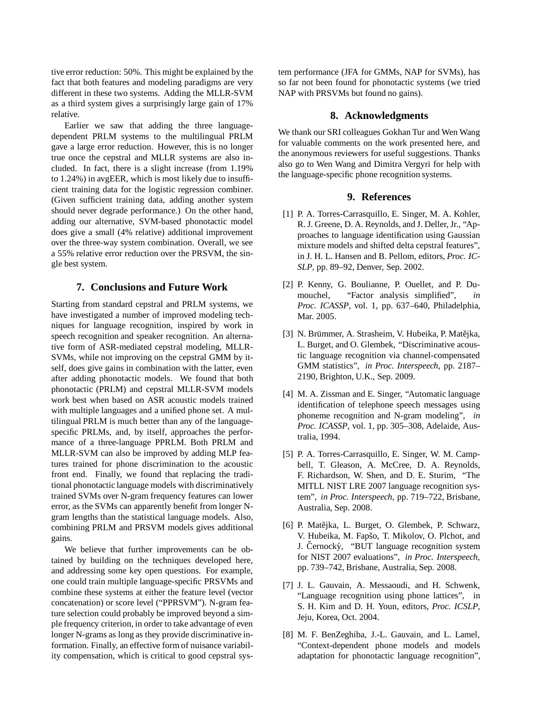tive error reduction: 50%. This might be explained by the fact that both features and modeling paradigms are very different in these two systems. Adding the MLLR-SVM as a third system gives a surprisingly large gain of 17% relative.

Earlier we saw that adding the three languagedependent PRLM systems to the multilingual PRLM gave a large error reduction. However, this is no longer true once the cepstral and MLLR systems are also included. In fact, there is a slight increase (from 1.19% to 1.24%) in avgEER, which is most likely due to insufficient training data for the logistic regression combiner. (Given sufficient training data, adding another system should never degrade performance.) On the other hand, adding our alternative, SVM-based phonotactic model does give a small (4% relative) additional improvement over the three-way system combination. Overall, we see a 55% relative error reduction over the PRSVM, the single best system.

# **7. Conclusions and Future Work**

Starting from standard cepstral and PRLM systems, we have investigated a number of improved modeling techniques for language recognition, inspired by work in speech recognition and speaker recognition. An alternative form of ASR-mediated cepstral modeling, MLLR-SVMs, while not improving on the cepstral GMM by itself, does give gains in combination with the latter, even after adding phonotactic models. We found that both phonotactic (PRLM) and cepstral MLLR-SVM models work best when based on ASR acoustic models trained with multiple languages and a unified phone set. A multilingual PRLM is much better than any of the languagespecific PRLMs, and, by itself, approaches the performance of a three-language PPRLM. Both PRLM and MLLR-SVM can also be improved by adding MLP features trained for phone discrimination to the acoustic front end. Finally, we found that replacing the traditional phonotactic language models with discriminatively trained SVMs over N-gram frequency features can lower error, as the SVMs can apparently benefit from longer Ngram lengths than the statistical language models. Also, combining PRLM and PRSVM models gives additional gains.

We believe that further improvements can be obtained by building on the techniques developed here, and addressing some key open questions. For example, one could train multiple language-specific PRSVMs and combine these systems at either the feature level (vector concatenation) or score level ("PPRSVM"). N-gram feature selection could probably be improved beyond a simple frequency criterion, in order to take advantage of even longer N-grams as long as they provide discriminative information. Finally, an effective form of nuisance variability compensation, which is critical to good cepstral system performance (JFA for GMMs, NAP for SVMs), has so far not been found for phonotactic systems (we tried NAP with PRSVMs but found no gains).

#### **8. Acknowledgments**

We thank our SRI colleagues Gokhan Tur and Wen Wang for valuable comments on the work presented here, and the anonymous reviewers for useful suggestions. Thanks also go to Wen Wang and Dimitra Vergyri for help with the language-specific phone recognition systems.

# **9. References**

- [1] P. A. Torres-Carrasquillo, E. Singer, M. A. Kohler, R. J. Greene, D. A. Reynolds, and J. Deller, Jr., "Approaches to language identification using Gaussian mixture models and shifted delta cepstral features", in J. H. L. Hansen and B. Pellom, editors, *Proc. IC-SLP*, pp. 89–92, Denver, Sep. 2002.
- [2] P. Kenny, G. Boulianne, P. Ouellet, and P. Dumouchel, "Factor analysis simplified", *in Proc. ICASSP*, vol. 1, pp. 637–640, Philadelphia, Mar. 2005.
- [3] N. Brümmer, A. Strasheim, V. Hubeika, P. Matějka, L. Burget, and O. Glembek, "Discriminative acoustic language recognition via channel-compensated GMM statistics", *in Proc. Interspeech*, pp. 2187– 2190, Brighton, U.K., Sep. 2009.
- [4] M. A. Zissman and E. Singer, "Automatic language identification of telephone speech messages using phoneme recognition and N-gram modeling", *in Proc. ICASSP*, vol. 1, pp. 305–308, Adelaide, Australia, 1994.
- [5] P. A. Torres-Carrasquillo, E. Singer, W. M. Campbell, T. Gleason, A. McCree, D. A. Reynolds, F. Richardson, W. Shen, and D. E. Sturim, "The MITLL NIST LRE 2007 language recognition system", *in Proc. Interspeech*, pp. 719–722, Brisbane, Australia, Sep. 2008.
- [6] P. Matějka, L. Burget, O. Glembek, P. Schwarz, V. Hubeika, M. Fapšo, T. Mikolov, O. Plchot, and J. Cernocký, "BUT language recognition system for NIST 2007 evaluations", *in Proc. Interspeech*, pp. 739–742, Brisbane, Australia, Sep. 2008.
- [7] J. L. Gauvain, A. Messaoudi, and H. Schwenk, "Language recognition using phone lattices", in S. H. Kim and D. H. Youn, editors, *Proc. ICSLP*, Jeju, Korea, Oct. 2004.
- [8] M. F. BenZeghiba, J.-L. Gauvain, and L. Lamel, "Context-dependent phone models and models adaptation for phonotactic language recognition",